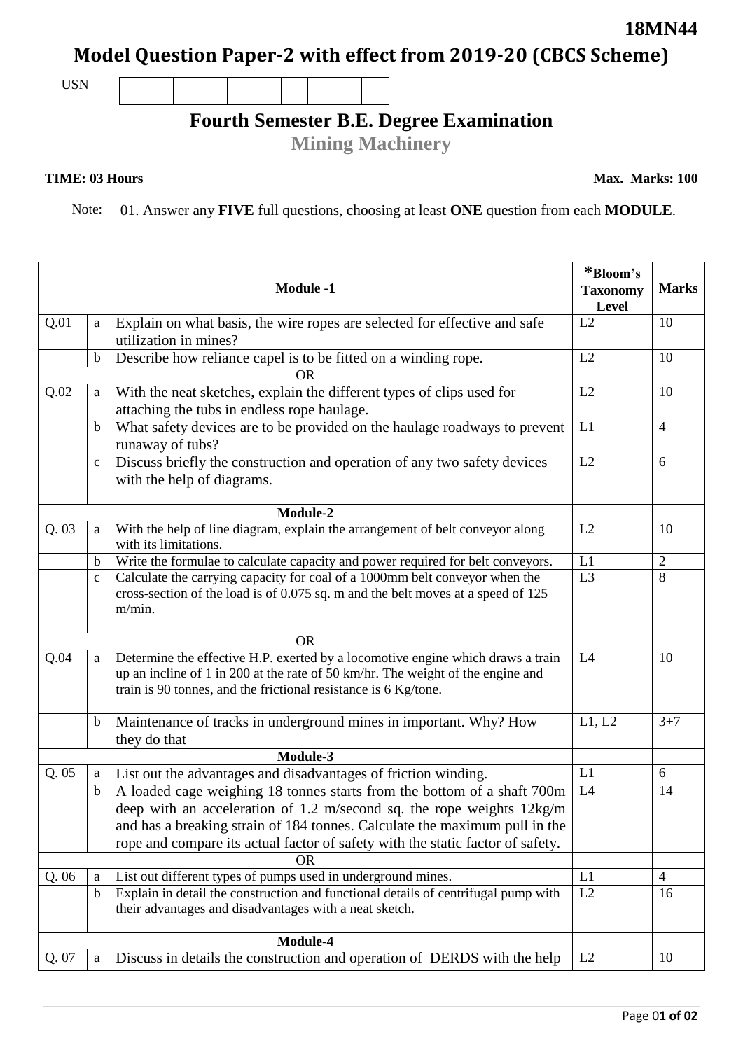## **18MN44**

**Model Question Paper-2 with effect from 2019-20 (CBCS Scheme)**

USN

## **Fourth Semester B.E. Degree Examination**

**Mining Machinery**

## **TIME: 03 Hours**

**Max. Marks: 100**

Note: 01. Answer any **FIVE** full questions, choosing at least **ONE** question from each **MODULE**.

| <b>Module -1</b> |              |                                                                                                                                                                                                                                       | *Bloom's<br><b>Taxonomy</b><br>Level | <b>Marks</b>   |
|------------------|--------------|---------------------------------------------------------------------------------------------------------------------------------------------------------------------------------------------------------------------------------------|--------------------------------------|----------------|
| Q.01             | a            | Explain on what basis, the wire ropes are selected for effective and safe<br>utilization in mines?                                                                                                                                    | L2                                   | 10             |
|                  | $\mathbf b$  | Describe how reliance capel is to be fitted on a winding rope.                                                                                                                                                                        | L2                                   | 10             |
|                  |              | <b>OR</b>                                                                                                                                                                                                                             |                                      |                |
| Q.02             | a            | With the neat sketches, explain the different types of clips used for<br>attaching the tubs in endless rope haulage.                                                                                                                  | L2                                   | 10             |
|                  | $\mathbf b$  | What safety devices are to be provided on the haulage roadways to prevent<br>runaway of tubs?                                                                                                                                         | L1                                   | $\overline{4}$ |
|                  | $\mathbf{C}$ | Discuss briefly the construction and operation of any two safety devices<br>with the help of diagrams.                                                                                                                                | L2                                   | 6              |
|                  |              | Module-2                                                                                                                                                                                                                              |                                      |                |
| Q.03             | a            | With the help of line diagram, explain the arrangement of belt conveyor along<br>with its limitations.                                                                                                                                | L2                                   | 10             |
|                  | $\mathbf b$  | Write the formulae to calculate capacity and power required for belt conveyors.                                                                                                                                                       | L1                                   | $\mathfrak{2}$ |
|                  | $\mathbf{C}$ | Calculate the carrying capacity for coal of a 1000mm belt conveyor when the<br>cross-section of the load is of 0.075 sq. m and the belt moves at a speed of 125<br>$m/min$ .                                                          | L <sub>3</sub>                       | 8              |
| <b>OR</b>        |              |                                                                                                                                                                                                                                       |                                      |                |
| Q.04             | a            | Determine the effective H.P. exerted by a locomotive engine which draws a train<br>up an incline of 1 in 200 at the rate of 50 km/hr. The weight of the engine and<br>train is 90 tonnes, and the frictional resistance is 6 Kg/tone. | L4                                   | 10             |
|                  | $\mathbf b$  | Maintenance of tracks in underground mines in important. Why? How<br>they do that                                                                                                                                                     | L1, L2                               | $3 + 7$        |
| Module-3         |              |                                                                                                                                                                                                                                       |                                      |                |
| Q.05             | a            | List out the advantages and disadvantages of friction winding.                                                                                                                                                                        | L1                                   | 6              |
|                  | $\mathbf b$  | A loaded cage weighing 18 tonnes starts from the bottom of a shaft 700m                                                                                                                                                               | L4                                   | 14             |
|                  |              | deep with an acceleration of 1.2 m/second sq. the rope weights 12kg/m                                                                                                                                                                 |                                      |                |
|                  |              | and has a breaking strain of 184 tonnes. Calculate the maximum pull in the                                                                                                                                                            |                                      |                |
|                  |              | rope and compare its actual factor of safety with the static factor of safety.                                                                                                                                                        |                                      |                |
|                  |              | <b>OR</b>                                                                                                                                                                                                                             |                                      |                |
| Q. 06            | a            | List out different types of pumps used in underground mines.                                                                                                                                                                          | L1                                   | $\overline{4}$ |
|                  | $\mathbf b$  | Explain in detail the construction and functional details of centrifugal pump with<br>their advantages and disadvantages with a neat sketch.                                                                                          | L2                                   | 16             |
| Module-4         |              |                                                                                                                                                                                                                                       |                                      |                |
| Q. 07            | a            | Discuss in details the construction and operation of DERDS with the help                                                                                                                                                              | L2                                   | 10             |